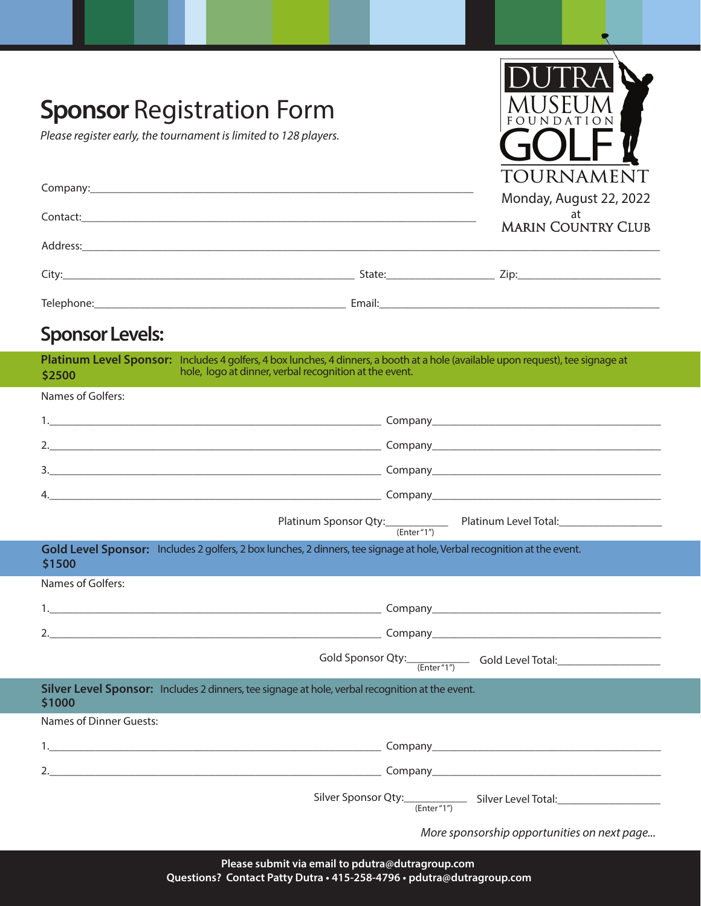| <b>Sponsor Registration Form</b><br>Please register early, the tournament is limited to 128 players.                                       |                                                        | TOURNAMENT<br>Monday, August 22, 2022<br>at<br><b>MARIN COUNTRY CLUB</b>                                                                                                                                                       |
|--------------------------------------------------------------------------------------------------------------------------------------------|--------------------------------------------------------|--------------------------------------------------------------------------------------------------------------------------------------------------------------------------------------------------------------------------------|
|                                                                                                                                            |                                                        |                                                                                                                                                                                                                                |
|                                                                                                                                            |                                                        |                                                                                                                                                                                                                                |
|                                                                                                                                            |                                                        |                                                                                                                                                                                                                                |
| <b>Sponsor Levels:</b>                                                                                                                     |                                                        |                                                                                                                                                                                                                                |
| Platinum Level Sponsor: Includes 4 golfers, 4 box lunches, 4 dinners, a booth at a hole (available upon request), tee signage at<br>\$2500 | hole, logo at dinner, verbal recognition at the event. |                                                                                                                                                                                                                                |
| Names of Golfers:                                                                                                                          |                                                        |                                                                                                                                                                                                                                |
|                                                                                                                                            |                                                        |                                                                                                                                                                                                                                |
|                                                                                                                                            |                                                        |                                                                                                                                                                                                                                |
|                                                                                                                                            |                                                        |                                                                                                                                                                                                                                |
|                                                                                                                                            |                                                        |                                                                                                                                                                                                                                |
|                                                                                                                                            |                                                        | Platinum Sponsor Qty: Enter "1" Platinum Level Total: 2010 1012                                                                                                                                                                |
| Gold Level Sponsor: Includes 2 golfers, 2 box lunches, 2 dinners, tee signage at hole, Verbal recognition at the event.<br>\$1500          |                                                        |                                                                                                                                                                                                                                |
| Names of Golfers:                                                                                                                          |                                                        |                                                                                                                                                                                                                                |
|                                                                                                                                            |                                                        |                                                                                                                                                                                                                                |
|                                                                                                                                            |                                                        |                                                                                                                                                                                                                                |
|                                                                                                                                            |                                                        | Gold Sponsor Qty: <b>CENTER (Enter "1")</b> Gold Level Total: <b>CENTER 2018</b>                                                                                                                                               |
| Silver Level Sponsor: Includes 2 dinners, tee signage at hole, verbal recognition at the event.<br>\$1000                                  |                                                        |                                                                                                                                                                                                                                |
| Names of Dinner Guests:                                                                                                                    |                                                        |                                                                                                                                                                                                                                |
|                                                                                                                                            |                                                        |                                                                                                                                                                                                                                |
|                                                                                                                                            |                                                        |                                                                                                                                                                                                                                |
|                                                                                                                                            |                                                        | Silver Sponsor Qty: Christian Content Content Content Content Content Christian Content Christian Content Christian Christian Christian Christian Christian Christian Christian Christian Christian Christian Christian Christ |
|                                                                                                                                            |                                                        | More sponsorship opportunities on next page                                                                                                                                                                                    |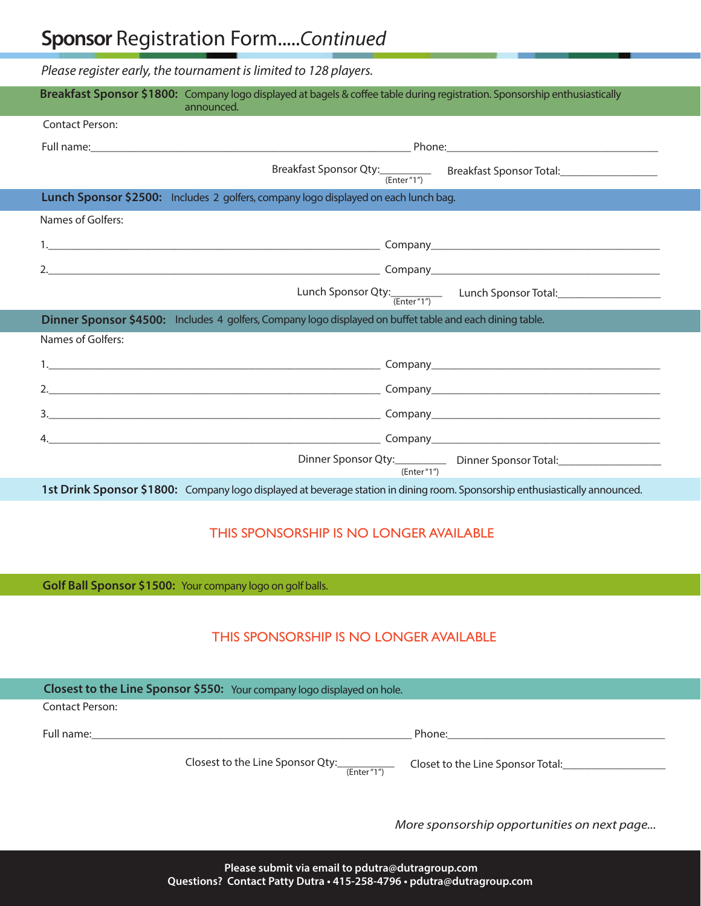## **Sponsor** Registration Form.....*Continued*

*Please register early, the tournament is limited to 128 players.* 

| Breakfast Sponsor \$1800: Company logo displayed at bagels & coffee table during registration. Sponsorship enthusiastically<br>announced. |                                                                                                                              |
|-------------------------------------------------------------------------------------------------------------------------------------------|------------------------------------------------------------------------------------------------------------------------------|
| <b>Contact Person:</b>                                                                                                                    |                                                                                                                              |
|                                                                                                                                           |                                                                                                                              |
|                                                                                                                                           | Breakfast Sponsor Qty: <b>Figure 19.1</b> Breakfast Sponsor Total: <u>Charles Alexander Charles Breakfast Sponsor Total:</u> |
| Lunch Sponsor \$2500: Includes 2 golfers, company logo displayed on each lunch bag.                                                       |                                                                                                                              |
| Names of Golfers:                                                                                                                         |                                                                                                                              |
|                                                                                                                                           |                                                                                                                              |
|                                                                                                                                           |                                                                                                                              |
|                                                                                                                                           | Lunch Sponsor Qty: [[[[[[[[[[[[[[]]]]] Lunch Sponsor Total: [[[[[[[[[[[]]]]]                                                 |
| Dinner Sponsor \$4500: Includes 4 golfers, Company logo displayed on buffet table and each dining table.                                  |                                                                                                                              |
| Names of Golfers:                                                                                                                         |                                                                                                                              |
|                                                                                                                                           |                                                                                                                              |
|                                                                                                                                           |                                                                                                                              |
|                                                                                                                                           |                                                                                                                              |
|                                                                                                                                           |                                                                                                                              |
|                                                                                                                                           | Dinner Sponsor Qty:_____________ Dinner Sponsor Total:__________________________<br>(Enter''1'')                             |
| 1st Drink Sponsor \$1800: Company logo displayed at beverage station in dining room. Sponsorship enthusiastically announced.              |                                                                                                                              |

## THIS SPONSORSHIP IS NO LONGER AVAILABLE

**Golf Ball Sponsor \$1500:** Your company logo on golf balls.

## THIS SPONSORSHIP IS NO LONGER AVAILABLE

|                             | Closest to the Line Sponsor \$550: Your company logo displayed on hole. |                                                                                                                                                                                                                                |  |
|-----------------------------|-------------------------------------------------------------------------|--------------------------------------------------------------------------------------------------------------------------------------------------------------------------------------------------------------------------------|--|
| Contact Person:             |                                                                         |                                                                                                                                                                                                                                |  |
| Full name: ________________ |                                                                         | Phone: the contract of the contract of the contract of the contract of the contract of the contract of the contract of the contract of the contract of the contract of the contract of the contract of the contract of the con |  |
|                             | Closest to the Line Sponsor Qty:<br>(Enter''1'')                        | Closet to the Line Sponsor Total:                                                                                                                                                                                              |  |

*More sponsorship opportunities on next page...*